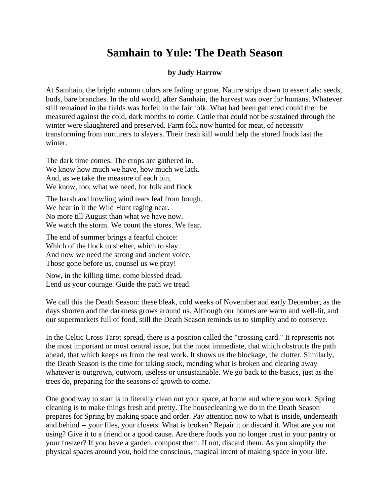## **Samhain to Yule: The Death Season**

## **by Judy Harrow**

At Samhain, the bright autumn colors are fading or gone. Nature strips down to essentials: seeds, buds, bare branches. In the old world, after Samhain, the harvest was over for humans. Whatever still remained in the fields was forfeit to the fair folk. What had been gathered could then be measured against the cold, dark months to come. Cattle that could not be sustained through the winter were slaughtered and preserved. Farm folk now hunted for meat, of necessity transforming from nurturers to slayers. Their fresh kill would help the stored foods last the winter.

The dark time comes. The crops are gathered in. We know how much we have, how much we lack. And, as we take the measure of each bin, We know, too, what we need, for folk and flock

The harsh and howling wind tears leaf from bough. We hear in it the Wild Hunt raging near. No more till August than what we have now. We watch the storm. We count the stores. We fear.

The end of summer brings a fearful choice: Which of the flock to shelter, which to slay. And now we need the strong and ancient voice. Those gone before us, counsel us we pray!

Now, in the killing time, come blessed dead, Lend us your courage. Guide the path we tread.

We call this the Death Season: these bleak, cold weeks of November and early December, as the days shorten and the darkness grows around us. Although our homes are warm and well-lit, and our supermarkets full of food, still the Death Season reminds us to simplify and to conserve.

In the Celtic Cross Tarot spread, there is a position called the "crossing card." It represents not the most important or most central issue, but the most immediate, that which obstructs the path ahead, that which keeps us from the real work. It shows us the blockage, the clutter. Similarly, the Death Season is the time for taking stock, mending what is broken and clearing away whatever is outgrown, outworn, useless or unsustainable. We go back to the basics, just as the trees do, preparing for the seasons of growth to come.

One good way to start is to literally clean out your space, at home and where you work. Spring cleaning is to make things fresh and pretty. The housecleaning we do in the Death Season prepares for Spring by making space and order. Pay attention now to what is inside, underneath and behind -- your files, your closets. What is broken? Repair it or discard it. What are you not using? Give it to a friend or a good cause. Are there foods you no longer trust in your pantry or your freezer? If you have a garden, compost them. If not, discard them. As you simplify the physical spaces around you, hold the conscious, magical intent of making space in your life.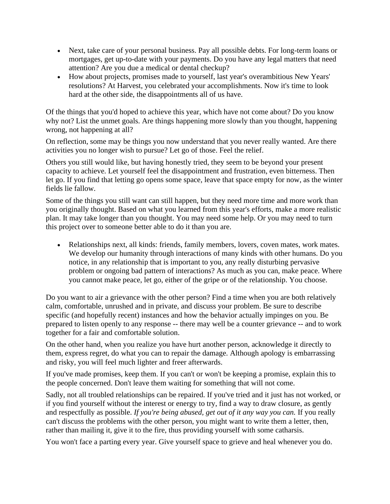- Next, take care of your personal business. Pay all possible debts. For long-term loans or mortgages, get up-to-date with your payments. Do you have any legal matters that need attention? Are you due a medical or dental checkup?
- How about projects, promises made to yourself, last year's overambitious New Years' resolutions? At Harvest, you celebrated your accomplishments. Now it's time to look hard at the other side, the disappointments all of us have.

Of the things that you'd hoped to achieve this year, which have not come about? Do you know why not? List the unmet goals. Are things happening more slowly than you thought, happening wrong, not happening at all?

On reflection, some may be things you now understand that you never really wanted. Are there activities you no longer wish to pursue? Let go of those. Feel the relief.

Others you still would like, but having honestly tried, they seem to be beyond your present capacity to achieve. Let yourself feel the disappointment and frustration, even bitterness. Then let go. If you find that letting go opens some space, leave that space empty for now, as the winter fields lie fallow.

Some of the things you still want can still happen, but they need more time and more work than you originally thought. Based on what you learned from this year's efforts, make a more realistic plan. It may take longer than you thought. You may need some help. Or you may need to turn this project over to someone better able to do it than you are.

• Relationships next, all kinds: friends, family members, lovers, coven mates, work mates. We develop our humanity through interactions of many kinds with other humans. Do you notice, in any relationship that is important to you, any really disturbing pervasive problem or ongoing bad pattern of interactions? As much as you can, make peace. Where you cannot make peace, let go, either of the gripe or of the relationship. You choose.

Do you want to air a grievance with the other person? Find a time when you are both relatively calm, comfortable, unrushed and in private, and discuss your problem. Be sure to describe specific (and hopefully recent) instances and how the behavior actually impinges on you. Be prepared to listen openly to any response -- there may well be a counter grievance -- and to work together for a fair and comfortable solution.

On the other hand, when you realize you have hurt another person, acknowledge it directly to them, express regret, do what you can to repair the damage. Although apology is embarrassing and risky, you will feel much lighter and freer afterwards.

If you've made promises, keep them. If you can't or won't be keeping a promise, explain this to the people concerned. Don't leave them waiting for something that will not come.

Sadly, not all troubled relationships can be repaired. If you've tried and it just has not worked, or if you find yourself without the interest or energy to try, find a way to draw closure, as gently and respectfully as possible. *If you're being abused, get out of it any way you can.* If you really can't discuss the problems with the other person, you might want to write them a letter, then, rather than mailing it, give it to the fire, thus providing yourself with some catharsis.

You won't face a parting every year. Give yourself space to grieve and heal whenever you do.